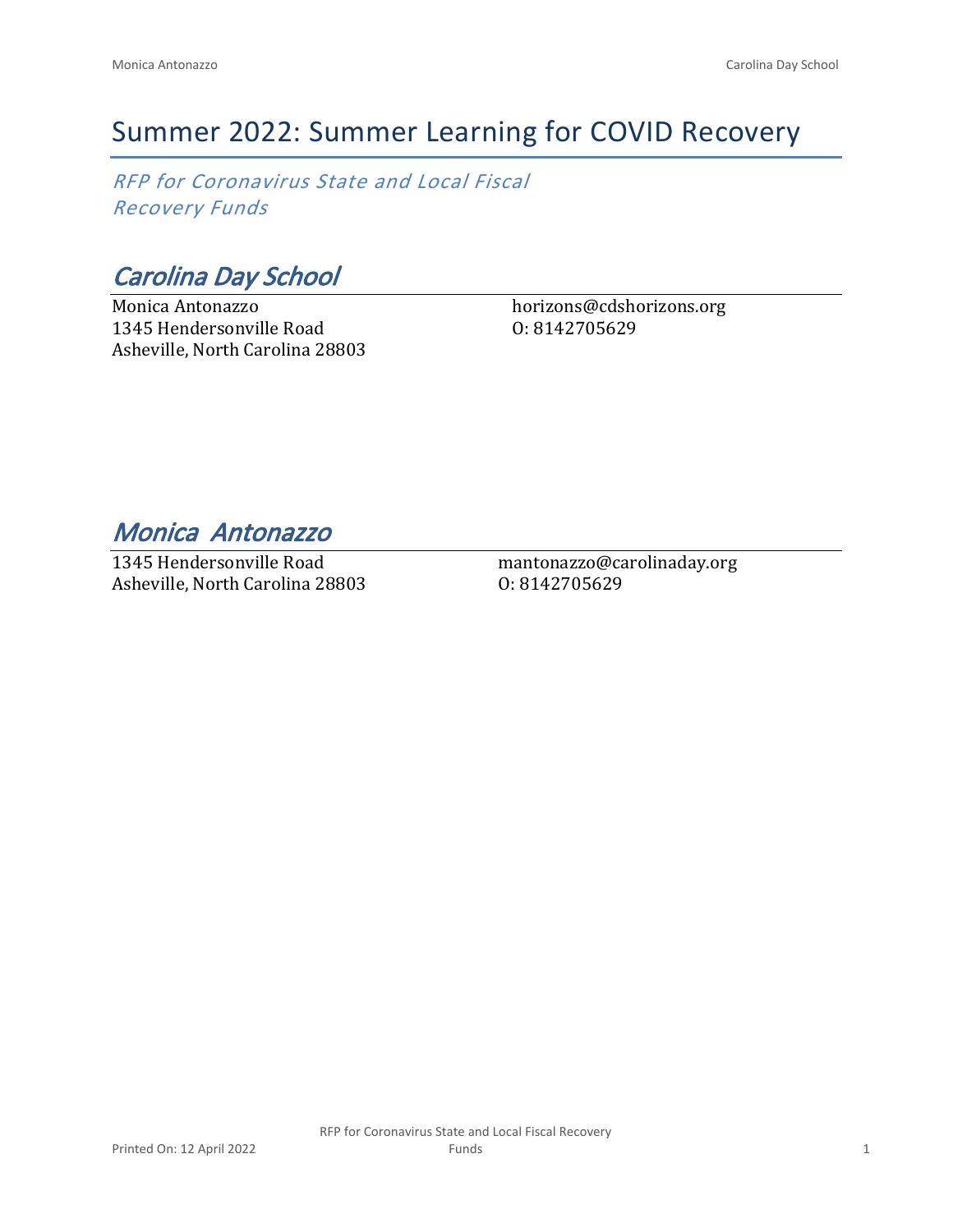# Summer 2022: Summer Learning for COVID Recovery

*RFP for Coronavirus State and Local Fiscal Recovery Funds*

*Carolina Day School*

Monica Antonazzo 1345 Hendersonville Road Asheville, North Carolina 28803 horizons@cdshorizons.org O: 8142705629

*Monica Antonazzo* 

1345 Hendersonville Road Asheville, North Carolina 28803 mantonazzo@carolinaday.org O: 8142705629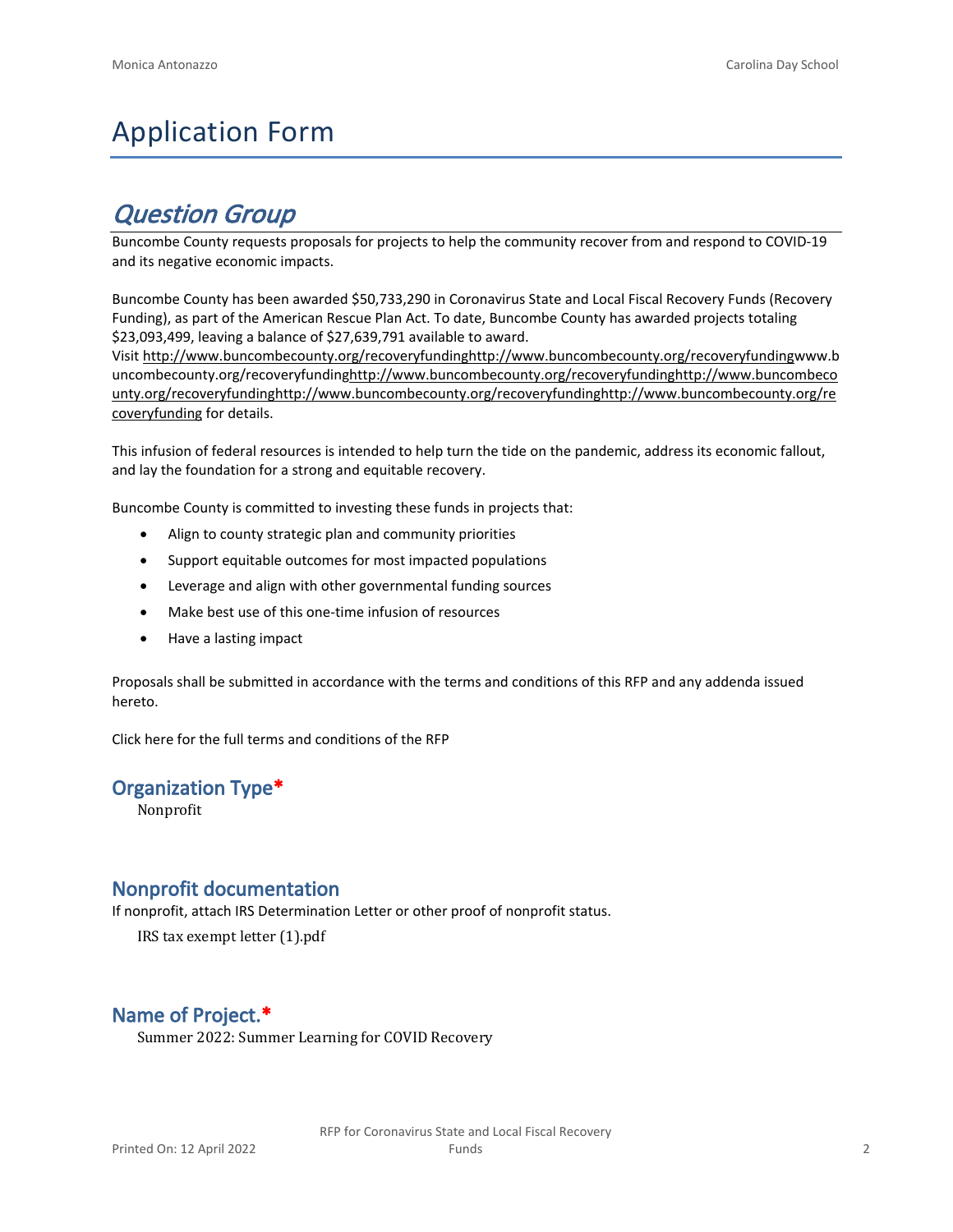# Application Form

# *Question Group*

Buncombe County requests proposals for projects to help the community recover from and respond to COVID-19 and its negative economic impacts.

Buncombe County has been awarded \$50,733,290 in Coronavirus State and Local Fiscal Recovery Funds (Recovery Funding), as part of the American Rescue Plan Act. To date, Buncombe County has awarded projects totaling \$23,093,499, leaving a balance of \$27,639,791 available to award.

Visit [http://www.buncombecounty.org/recoveryfundinghttp://www.buncombecounty.org/recoveryfundingwww.b](http://www.buncombecounty.org/recoveryfunding) [uncombecounty.org/recoveryfundinghttp://www.buncombecounty.org/recoveryfundinghttp://www.buncombeco](http://www.buncombecounty.org/recoveryfunding) [unty.org/recoveryfundinghttp://www.buncombecounty.org/recoveryfundinghttp://www.buncombecounty.org/re](http://www.buncombecounty.org/recoveryfunding) [coveryfunding](http://www.buncombecounty.org/recoveryfunding) for details.

This infusion of federal resources is intended to help turn the tide on the pandemic, address its economic fallout, and lay the foundation for a strong and equitable recovery.

Buncombe County is committed to investing these funds in projects that:

- Align to county strategic plan and community priorities
- Support equitable outcomes for most impacted populations
- Leverage and align with other governmental funding sources
- Make best use of this one-time infusion of resources
- Have a lasting impact

Proposals shall be submitted in accordance with the terms and conditions of this RFP and any addenda issued hereto.

Click [here](https://www.buncombecounty.org/common/purchasing/Buncombe%20Recovery%20Funding%20RFP%202022.pdf) for the full terms and conditions of the RFP

#### **Organization Type\***

Nonprofit

#### **Nonprofit documentation**

If nonprofit, attach IRS Determination Letter or other proof of nonprofit status.

IRS tax exempt letter (1).pdf

# **Name of Project.\***

Summer 2022: Summer Learning for COVID Recovery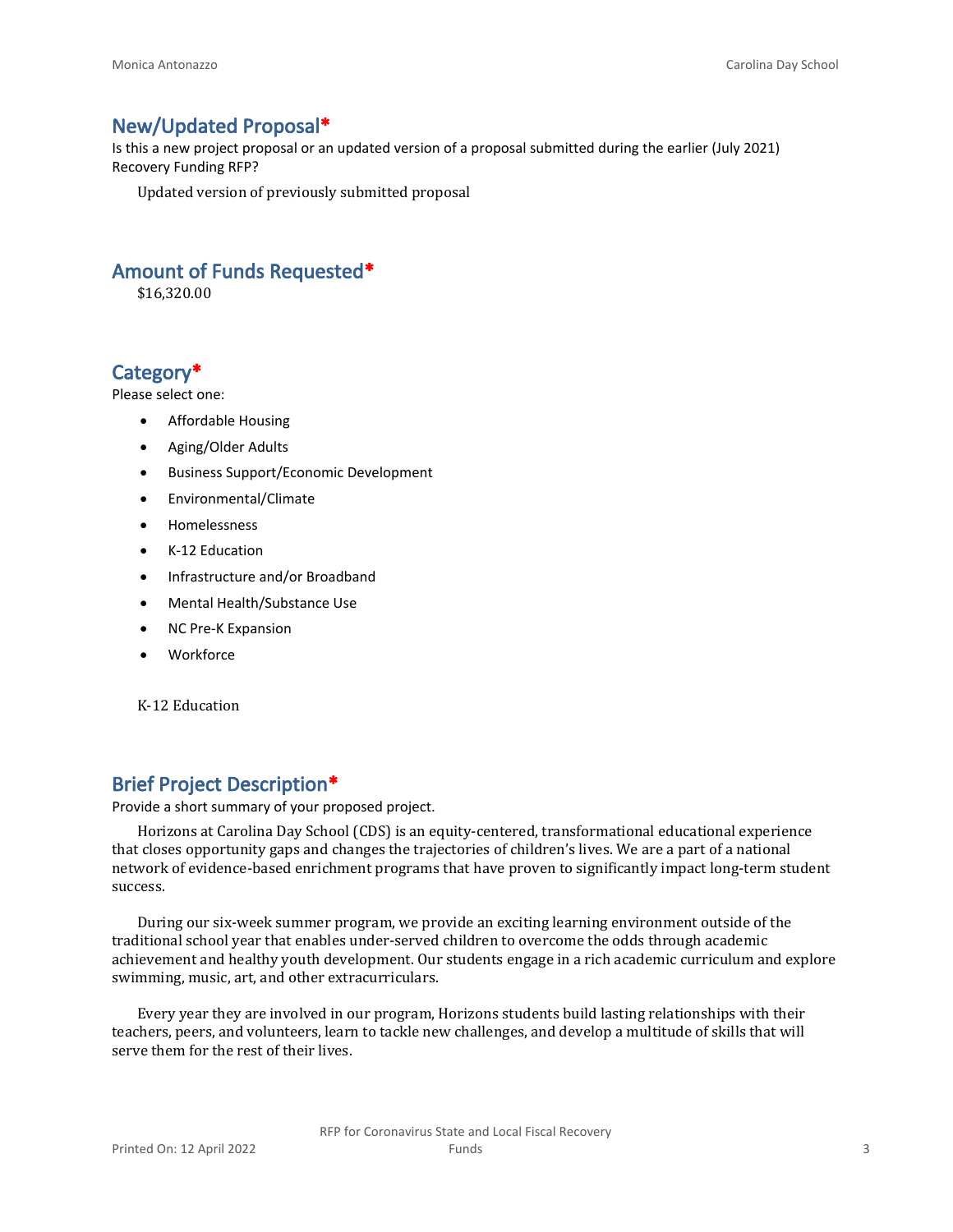### **New/Updated Proposal\***

Is this a new project proposal or an updated version of a proposal submitted during the earlier (July 2021) Recovery Funding RFP?

Updated version of previously submitted proposal

## **Amount of Funds Requested\***

\$16,320.00

# **Category\***

Please select one:

- Affordable Housing
- Aging/Older Adults
- Business Support/Economic Development
- Environmental/Climate
- Homelessness
- K-12 Education
- Infrastructure and/or Broadband
- Mental Health/Substance Use
- NC Pre-K Expansion
- Workforce

K-12 Education

# **Brief Project Description\***

Provide a short summary of your proposed project.

Horizons at Carolina Day School (CDS) is an equity-centered, transformational educational experience that closes opportunity gaps and changes the trajectories of children's lives. We are a part of a national network of evidence-based enrichment programs that have proven to significantly impact long-term student success.

During our six-week summer program, we provide an exciting learning environment outside of the traditional school year that enables under-served children to overcome the odds through academic achievement and healthy youth development. Our students engage in a rich academic curriculum and explore swimming, music, art, and other extracurriculars.

Every year they are involved in our program, Horizons students build lasting relationships with their teachers, peers, and volunteers, learn to tackle new challenges, and develop a multitude of skills that will serve them for the rest of their lives.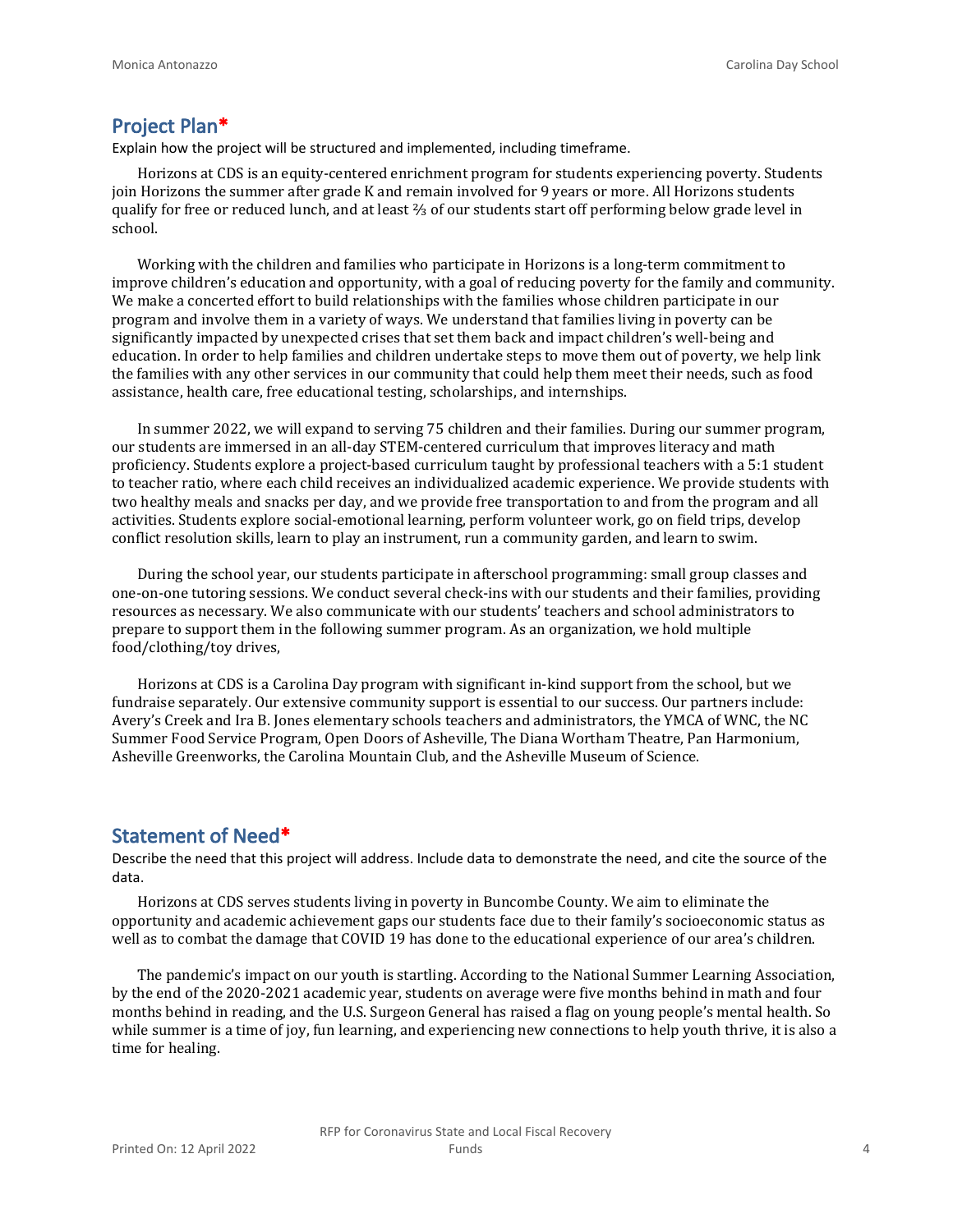#### **Project Plan\***

Explain how the project will be structured and implemented, including timeframe.

Horizons at CDS is an equity-centered enrichment program for students experiencing poverty. Students join Horizons the summer after grade K and remain involved for 9 years or more. All Horizons students qualify for free or reduced lunch, and at least ⅔ of our students start off performing below grade level in school.

Working with the children and families who participate in Horizons is a long-term commitment to improve children's education and opportunity, with a goal of reducing poverty for the family and community. We make a concerted effort to build relationships with the families whose children participate in our program and involve them in a variety of ways. We understand that families living in poverty can be significantly impacted by unexpected crises that set them back and impact children's well-being and education. In order to help families and children undertake steps to move them out of poverty, we help link the families with any other services in our community that could help them meet their needs, such as food assistance, health care, free educational testing, scholarships, and internships.

In summer 2022, we will expand to serving 75 children and their families. During our summer program, our students are immersed in an all-day STEM-centered curriculum that improves literacy and math proficiency. Students explore a project-based curriculum taught by professional teachers with a 5:1 student to teacher ratio, where each child receives an individualized academic experience. We provide students with two healthy meals and snacks per day, and we provide free transportation to and from the program and all activities. Students explore social-emotional learning, perform volunteer work, go on field trips, develop conflict resolution skills, learn to play an instrument, run a community garden, and learn to swim.

During the school year, our students participate in afterschool programming: small group classes and one-on-one tutoring sessions. We conduct several check-ins with our students and their families, providing resources as necessary. We also communicate with our students' teachers and school administrators to prepare to support them in the following summer program. As an organization, we hold multiple food/clothing/toy drives,

Horizons at CDS is a Carolina Day program with significant in-kind support from the school, but we fundraise separately. Our extensive community support is essential to our success. Our partners include: Avery's Creek and Ira B. Jones elementary schools teachers and administrators, the YMCA of WNC, the NC Summer Food Service Program, Open Doors of Asheville, The Diana Wortham Theatre, Pan Harmonium, Asheville Greenworks, the Carolina Mountain Club, and the Asheville Museum of Science.

#### **Statement of Need\***

Describe the need that this project will address. Include data to demonstrate the need, and cite the source of the data.

Horizons at CDS serves students living in poverty in Buncombe County. We aim to eliminate the opportunity and academic achievement gaps our students face due to their family's socioeconomic status as well as to combat the damage that COVID 19 has done to the educational experience of our area's children.

The pandemic's impact on our youth is startling. According to the National Summer Learning Association, by the end of the 2020-2021 academic year, students on average were five months behind in math and four months behind in reading, and the U.S. Surgeon General has raised a flag on young people's mental health. So while summer is a time of joy, fun learning, and experiencing new connections to help youth thrive, it is also a time for healing.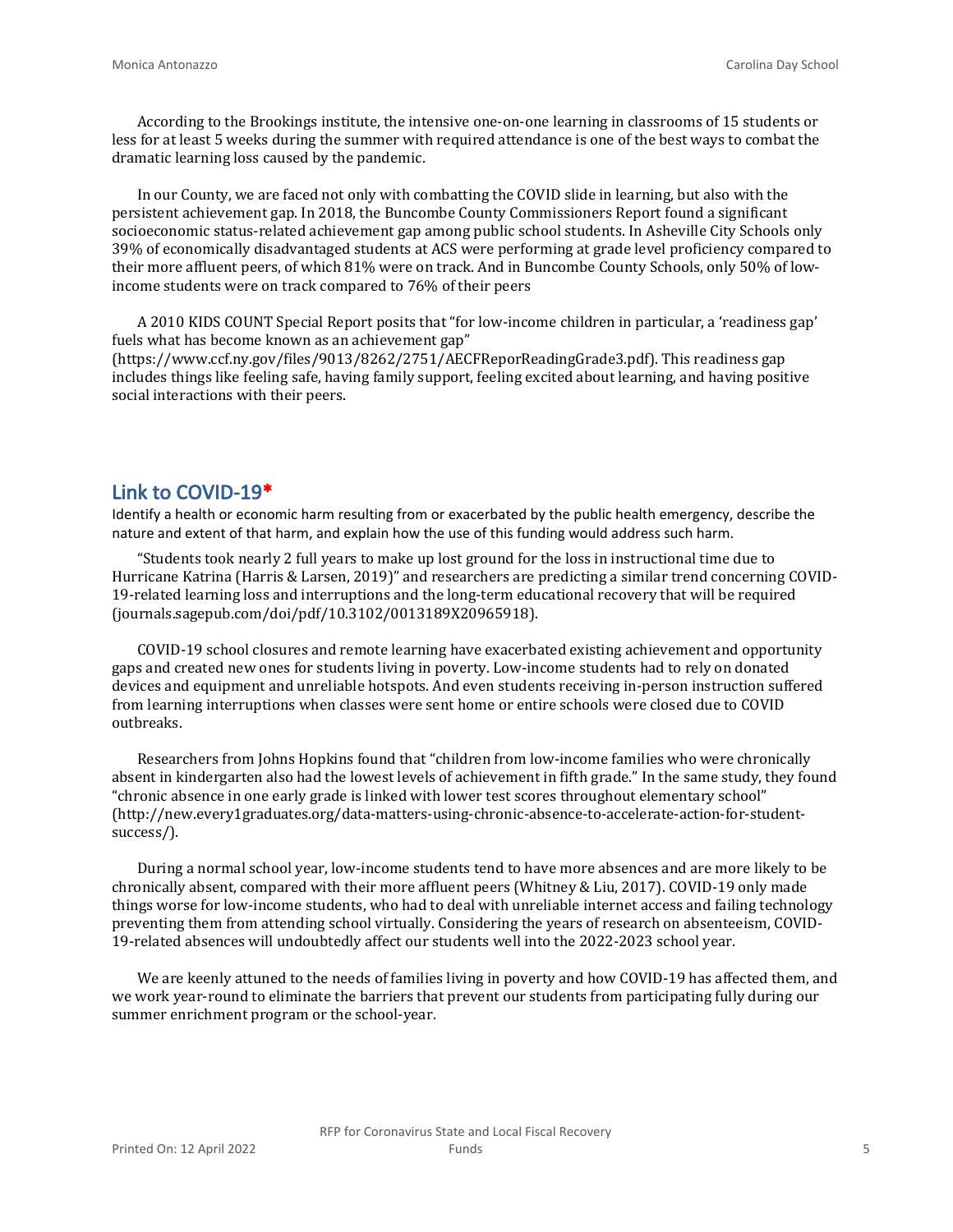According to the Brookings institute, the intensive one-on-one learning in classrooms of 15 students or less for at least 5 weeks during the summer with required attendance is one of the best ways to combat the dramatic learning loss caused by the pandemic.

In our County, we are faced not only with combatting the COVID slide in learning, but also with the persistent achievement gap. In 2018, the Buncombe County Commissioners Report found a significant socioeconomic status-related achievement gap among public school students. In Asheville City Schools only 39% of economically disadvantaged students at ACS were performing at grade level proficiency compared to their more affluent peers, of which 81% were on track. And in Buncombe County Schools, only 50% of lowincome students were on track compared to 76% of their peers

A 2010 KIDS COUNT Special Report posits that "for low-income children in particular, a 'readiness gap' fuels what has become known as an achievement gap"

(https://www.ccf.ny.gov/files/9013/8262/2751/AECFReporReadingGrade3.pdf). This readiness gap includes things like feeling safe, having family support, feeling excited about learning, and having positive social interactions with their peers.

#### **Link to COVID-19\***

Identify a health or economic harm resulting from or exacerbated by the public health emergency, describe the nature and extent of that harm, and explain how the use of this funding would address such harm.

"Students took nearly 2 full years to make up lost ground for the loss in instructional time due to Hurricane Katrina (Harris & Larsen, 2019)" and researchers are predicting a similar trend concerning COVID-19-related learning loss and interruptions and the long-term educational recovery that will be required (journals.sagepub.com/doi/pdf/10.3102/0013189X20965918).

COVID-19 school closures and remote learning have exacerbated existing achievement and opportunity gaps and created new ones for students living in poverty. Low-income students had to rely on donated devices and equipment and unreliable hotspots. And even students receiving in-person instruction suffered from learning interruptions when classes were sent home or entire schools were closed due to COVID outbreaks.

Researchers from Johns Hopkins found that "children from low-income families who were chronically absent in kindergarten also had the lowest levels of achievement in fifth grade." In the same study, they found "chronic absence in one early grade is linked with lower test scores throughout elementary school" (http://new.every1graduates.org/data-matters-using-chronic-absence-to-accelerate-action-for-studentsuccess/).

During a normal school year, low-income students tend to have more absences and are more likely to be chronically absent, compared with their more affluent peers (Whitney & Liu, 2017). COVID-19 only made things worse for low-income students, who had to deal with unreliable internet access and failing technology preventing them from attending school virtually. Considering the years of research on absenteeism, COVID-19-related absences will undoubtedly affect our students well into the 2022-2023 school year.

We are keenly attuned to the needs of families living in poverty and how COVID-19 has affected them, and we work year-round to eliminate the barriers that prevent our students from participating fully during our summer enrichment program or the school-year.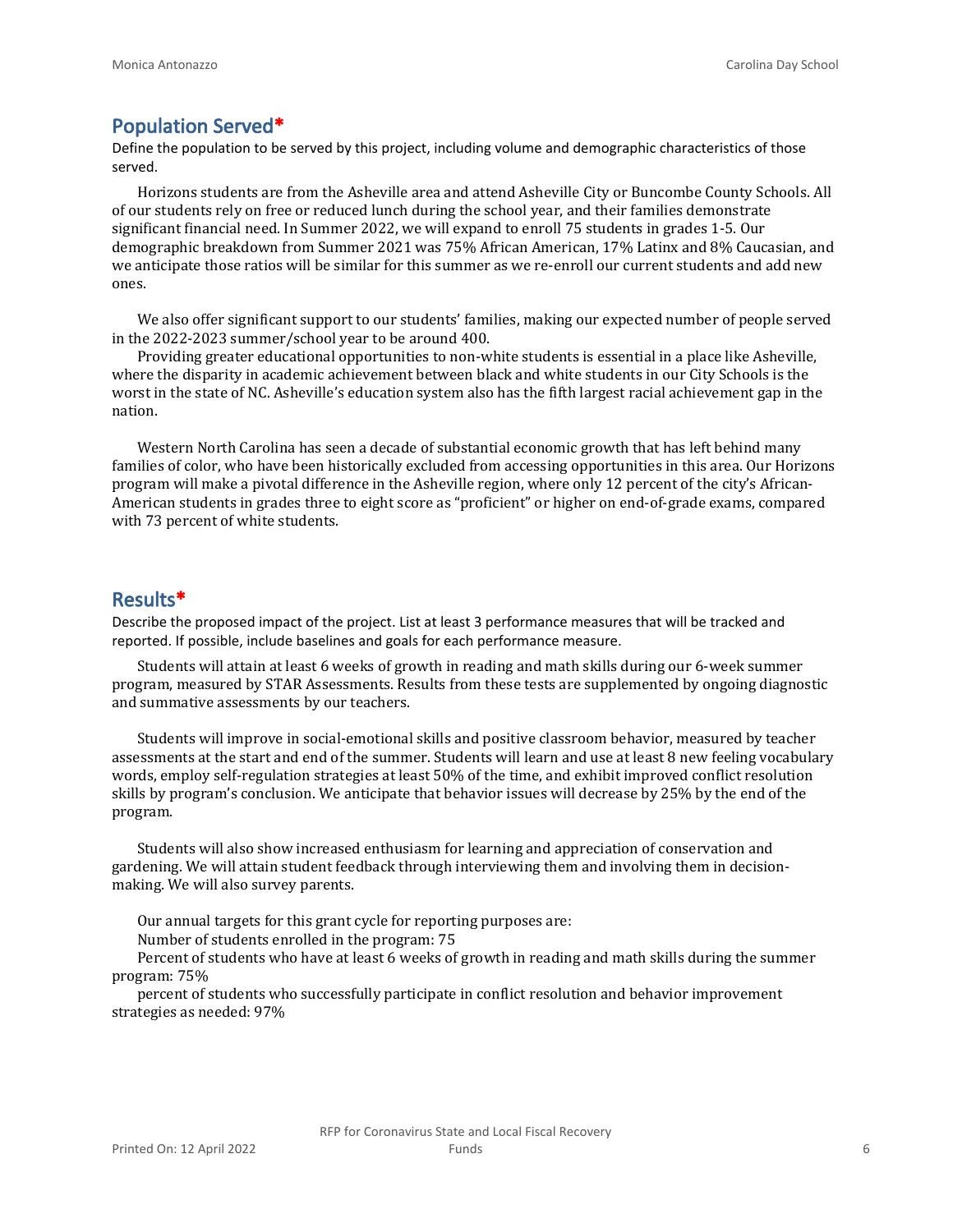#### **Population Served\***

Define the population to be served by this project, including volume and demographic characteristics of those served.

Horizons students are from the Asheville area and attend Asheville City or Buncombe County Schools. All of our students rely on free or reduced lunch during the school year, and their families demonstrate significant financial need. In Summer 2022, we will expand to enroll 75 students in grades 1-5. Our demographic breakdown from Summer 2021 was 75% African American, 17% Latinx and 8% Caucasian, and we anticipate those ratios will be similar for this summer as we re-enroll our current students and add new ones.

We also offer significant support to our students' families, making our expected number of people served in the 2022-2023 summer/school year to be around 400.

Providing greater educational opportunities to non-white students is essential in a place like Asheville, where the disparity in academic achievement between black and white students in our City Schools is the worst in the state of NC. Asheville's education system also has the fifth largest racial achievement gap in the nation.

Western North Carolina has seen a decade of substantial economic growth that has left behind many families of color, who have been historically excluded from accessing opportunities in this area. Our Horizons program will make a pivotal difference in the Asheville region, where only 12 percent of the city's African-American students in grades three to eight score as "proficient" or higher on end-of-grade exams, compared with 73 percent of white students.

#### **Results\***

Describe the proposed impact of the project. List at least 3 performance measures that will be tracked and reported. If possible, include baselines and goals for each performance measure.

Students will attain at least 6 weeks of growth in reading and math skills during our 6-week summer program, measured by STAR Assessments. Results from these tests are supplemented by ongoing diagnostic and summative assessments by our teachers.

Students will improve in social-emotional skills and positive classroom behavior, measured by teacher assessments at the start and end of the summer. Students will learn and use at least 8 new feeling vocabulary words, employ self-regulation strategies at least 50% of the time, and exhibit improved conflict resolution skills by program's conclusion. We anticipate that behavior issues will decrease by 25% by the end of the program.

Students will also show increased enthusiasm for learning and appreciation of conservation and gardening. We will attain student feedback through interviewing them and involving them in decisionmaking. We will also survey parents.

Our annual targets for this grant cycle for reporting purposes are:

Number of students enrolled in the program: 75

Percent of students who have at least 6 weeks of growth in reading and math skills during the summer program: 75%

percent of students who successfully participate in conflict resolution and behavior improvement strategies as needed: 97%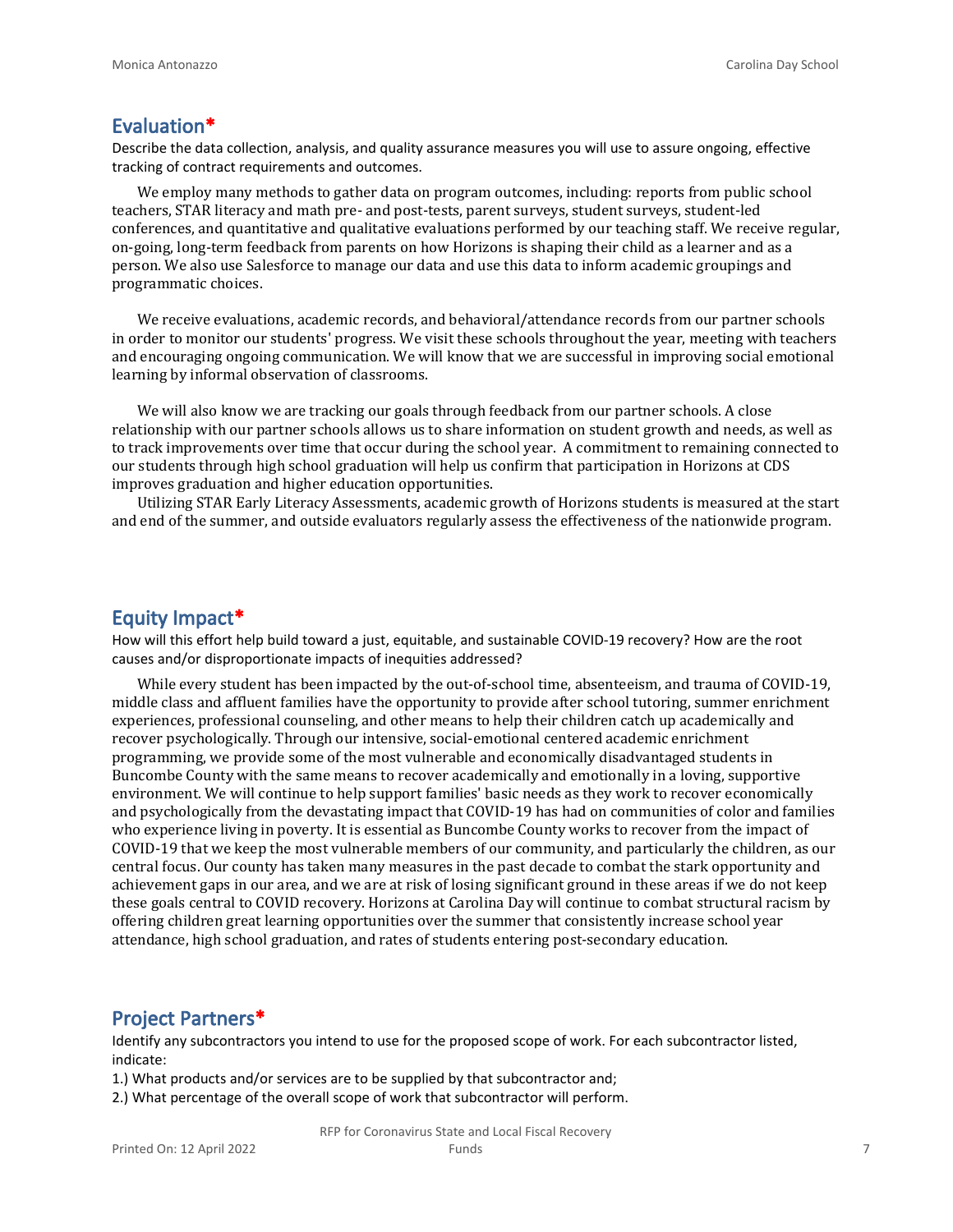#### **Evaluation\***

Describe the data collection, analysis, and quality assurance measures you will use to assure ongoing, effective tracking of contract requirements and outcomes.

We employ many methods to gather data on program outcomes, including: reports from public school teachers, STAR literacy and math pre- and post-tests, parent surveys, student surveys, student-led conferences, and quantitative and qualitative evaluations performed by our teaching staff. We receive regular, on-going, long-term feedback from parents on how Horizons is shaping their child as a learner and as a person. We also use Salesforce to manage our data and use this data to inform academic groupings and programmatic choices.

We receive evaluations, academic records, and behavioral/attendance records from our partner schools in order to monitor our students' progress. We visit these schools throughout the year, meeting with teachers and encouraging ongoing communication. We will know that we are successful in improving social emotional learning by informal observation of classrooms.

We will also know we are tracking our goals through feedback from our partner schools. A close relationship with our partner schools allows us to share information on student growth and needs, as well as to track improvements over time that occur during the school year. A commitment to remaining connected to our students through high school graduation will help us confirm that participation in Horizons at CDS improves graduation and higher education opportunities.

Utilizing STAR Early Literacy Assessments, academic growth of Horizons students is measured at the start and end of the summer, and outside evaluators regularly assess the effectiveness of the nationwide program.

#### **Equity Impact\***

How will this effort help build toward a just, equitable, and sustainable COVID-19 recovery? How are the root causes and/or disproportionate impacts of inequities addressed?

While every student has been impacted by the out-of-school time, absenteeism, and trauma of COVID-19, middle class and affluent families have the opportunity to provide after school tutoring, summer enrichment experiences, professional counseling, and other means to help their children catch up academically and recover psychologically. Through our intensive, social-emotional centered academic enrichment programming, we provide some of the most vulnerable and economically disadvantaged students in Buncombe County with the same means to recover academically and emotionally in a loving, supportive environment. We will continue to help support families' basic needs as they work to recover economically and psychologically from the devastating impact that COVID-19 has had on communities of color and families who experience living in poverty. It is essential as Buncombe County works to recover from the impact of COVID-19 that we keep the most vulnerable members of our community, and particularly the children, as our central focus. Our county has taken many measures in the past decade to combat the stark opportunity and achievement gaps in our area, and we are at risk of losing significant ground in these areas if we do not keep these goals central to COVID recovery. Horizons at Carolina Day will continue to combat structural racism by offering children great learning opportunities over the summer that consistently increase school year attendance, high school graduation, and rates of students entering post-secondary education.

#### **Project Partners\***

Identify any subcontractors you intend to use for the proposed scope of work. For each subcontractor listed, indicate:

1.) What products and/or services are to be supplied by that subcontractor and;

2.) What percentage of the overall scope of work that subcontractor will perform.

RFP for Coronavirus State and Local Fiscal Recovery Funds 7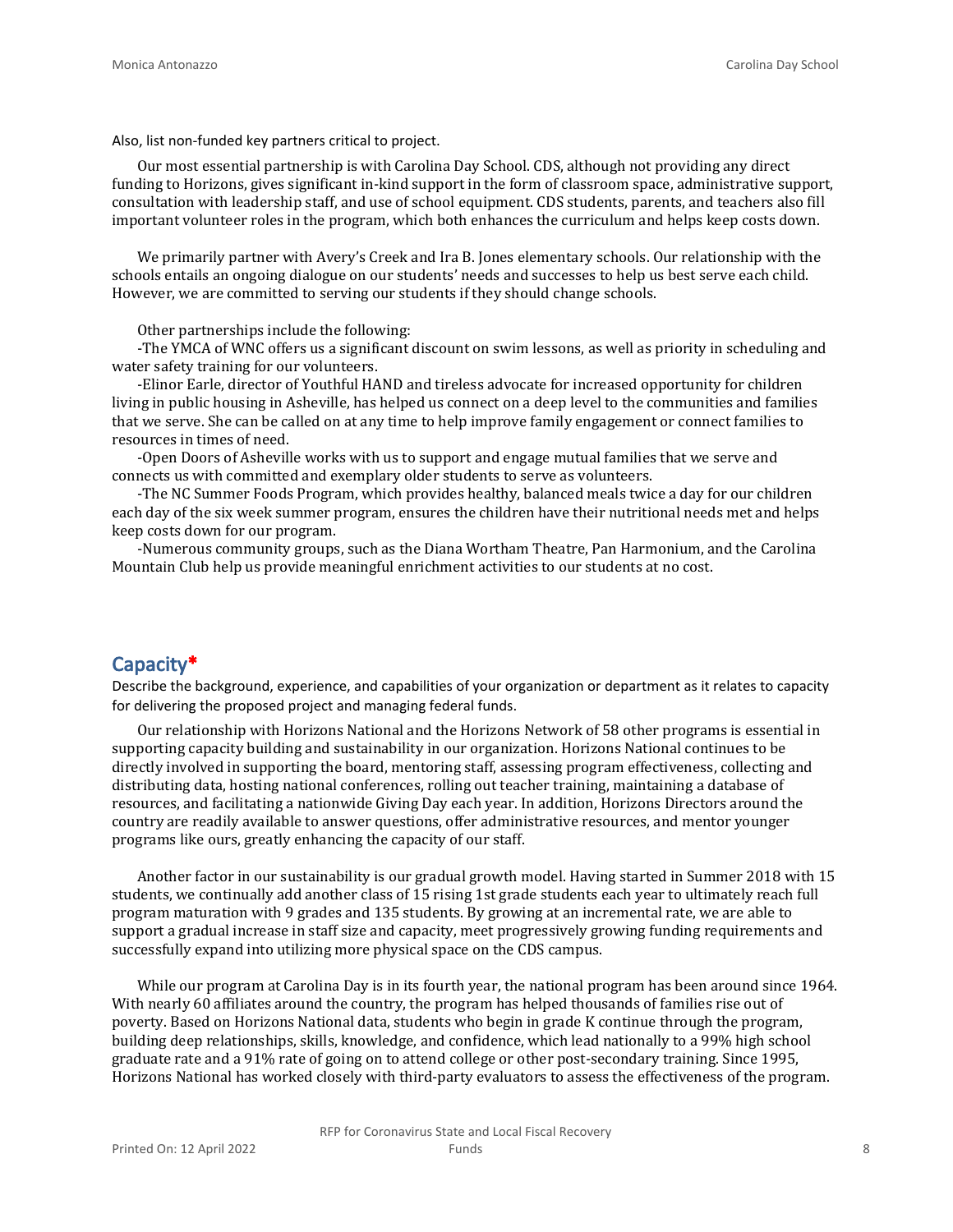Also, list non-funded key partners critical to project.

Our most essential partnership is with Carolina Day School. CDS, although not providing any direct funding to Horizons, gives significant in-kind support in the form of classroom space, administrative support, consultation with leadership staff, and use of school equipment. CDS students, parents, and teachers also fill important volunteer roles in the program, which both enhances the curriculum and helps keep costs down.

We primarily partner with Avery's Creek and Ira B. Jones elementary schools. Our relationship with the schools entails an ongoing dialogue on our students' needs and successes to help us best serve each child. However, we are committed to serving our students if they should change schools.

Other partnerships include the following:

-The YMCA of WNC offers us a significant discount on swim lessons, as well as priority in scheduling and water safety training for our volunteers.

-Elinor Earle, director of Youthful HAND and tireless advocate for increased opportunity for children living in public housing in Asheville, has helped us connect on a deep level to the communities and families that we serve. She can be called on at any time to help improve family engagement or connect families to resources in times of need.

-Open Doors of Asheville works with us to support and engage mutual families that we serve and connects us with committed and exemplary older students to serve as volunteers.

-The NC Summer Foods Program, which provides healthy, balanced meals twice a day for our children each day of the six week summer program, ensures the children have their nutritional needs met and helps keep costs down for our program.

-Numerous community groups, such as the Diana Wortham Theatre, Pan Harmonium, and the Carolina Mountain Club help us provide meaningful enrichment activities to our students at no cost.

# **Capacity\***

Describe the background, experience, and capabilities of your organization or department as it relates to capacity for delivering the proposed project and managing federal funds.

Our relationship with Horizons National and the Horizons Network of 58 other programs is essential in supporting capacity building and sustainability in our organization. Horizons National continues to be directly involved in supporting the board, mentoring staff, assessing program effectiveness, collecting and distributing data, hosting national conferences, rolling out teacher training, maintaining a database of resources, and facilitating a nationwide Giving Day each year. In addition, Horizons Directors around the country are readily available to answer questions, offer administrative resources, and mentor younger programs like ours, greatly enhancing the capacity of our staff.

Another factor in our sustainability is our gradual growth model. Having started in Summer 2018 with 15 students, we continually add another class of 15 rising 1st grade students each year to ultimately reach full program maturation with 9 grades and 135 students. By growing at an incremental rate, we are able to support a gradual increase in staff size and capacity, meet progressively growing funding requirements and successfully expand into utilizing more physical space on the CDS campus.

While our program at Carolina Day is in its fourth year, the national program has been around since 1964. With nearly 60 affiliates around the country, the program has helped thousands of families rise out of poverty. Based on Horizons National data, students who begin in grade K continue through the program, building deep relationships, skills, knowledge, and confidence, which lead nationally to a 99% high school graduate rate and a 91% rate of going on to attend college or other post-secondary training. Since 1995, Horizons National has worked closely with third-party evaluators to assess the effectiveness of the program.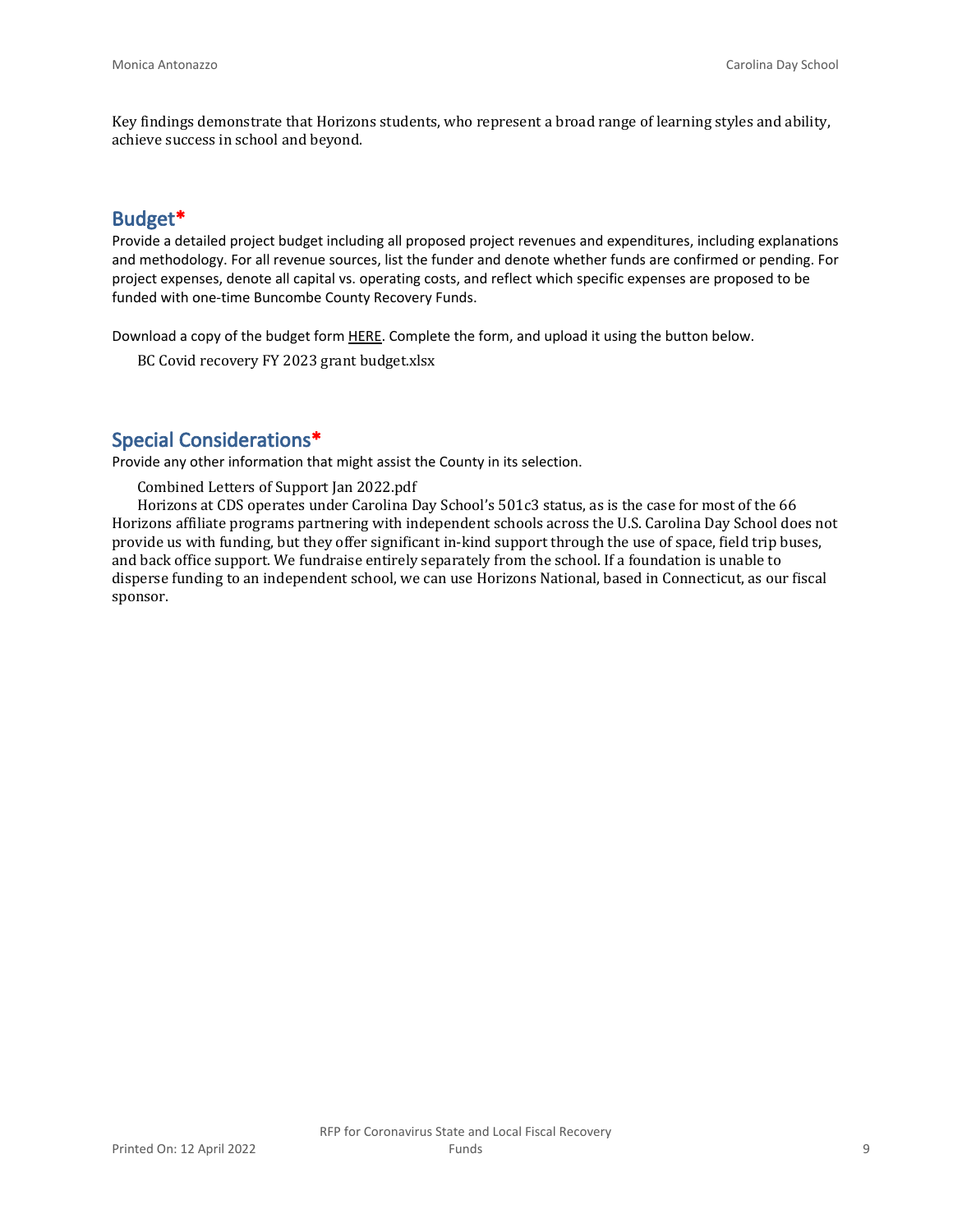Key findings demonstrate that Horizons students, who represent a broad range of learning styles and ability, achieve success in school and beyond.

## **Budget\***

Provide a detailed project budget including all proposed project revenues and expenditures, including explanations and methodology. For all revenue sources, list the funder and denote whether funds are confirmed or pending. For project expenses, denote all capital vs. operating costs, and reflect which specific expenses are proposed to be funded with one-time Buncombe County Recovery Funds.

Download a copy of the budget form [HERE](https://buncombecounty.org/common/community-investment/grants/early-childhood-education/Recovery-Funds-budget-template.xlsx). Complete the form, and upload it using the button below.

BC Covid recovery FY 2023 grant budget.xlsx

# **Special Considerations\***

Provide any other information that might assist the County in its selection.

Combined Letters of Support Jan 2022.pdf

Horizons at CDS operates under Carolina Day School's 501c3 status, as is the case for most of the 66 Horizons affiliate programs partnering with independent schools across the U.S. Carolina Day School does not provide us with funding, but they offer significant in-kind support through the use of space, field trip buses, and back office support. We fundraise entirely separately from the school. If a foundation is unable to disperse funding to an independent school, we can use Horizons National, based in Connecticut, as our fiscal sponsor.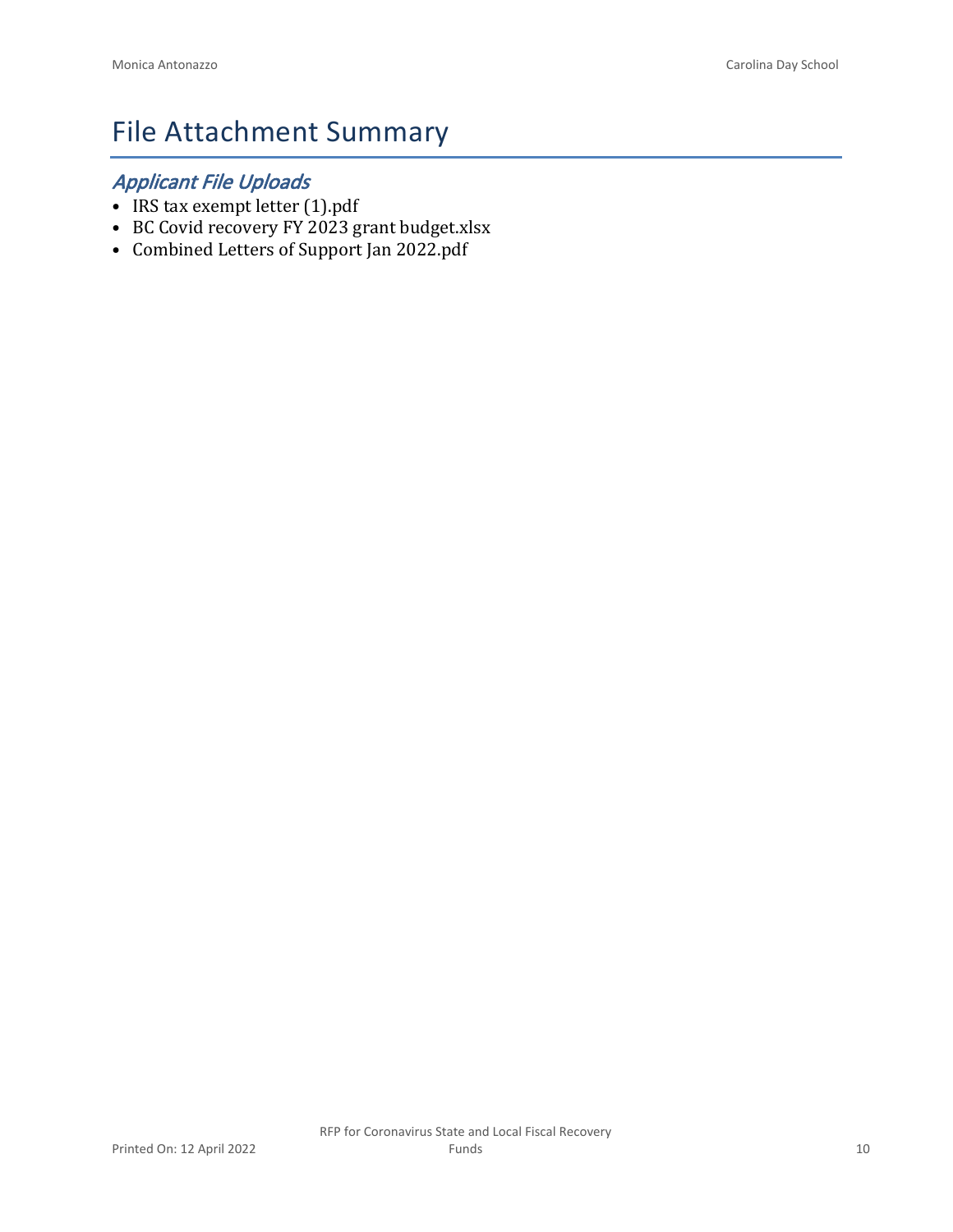# File Attachment Summary

# *Applicant File Uploads*

- IRS tax exempt letter (1).pdf
- BC Covid recovery FY 2023 grant budget.xlsx
- Combined Letters of Support Jan 2022.pdf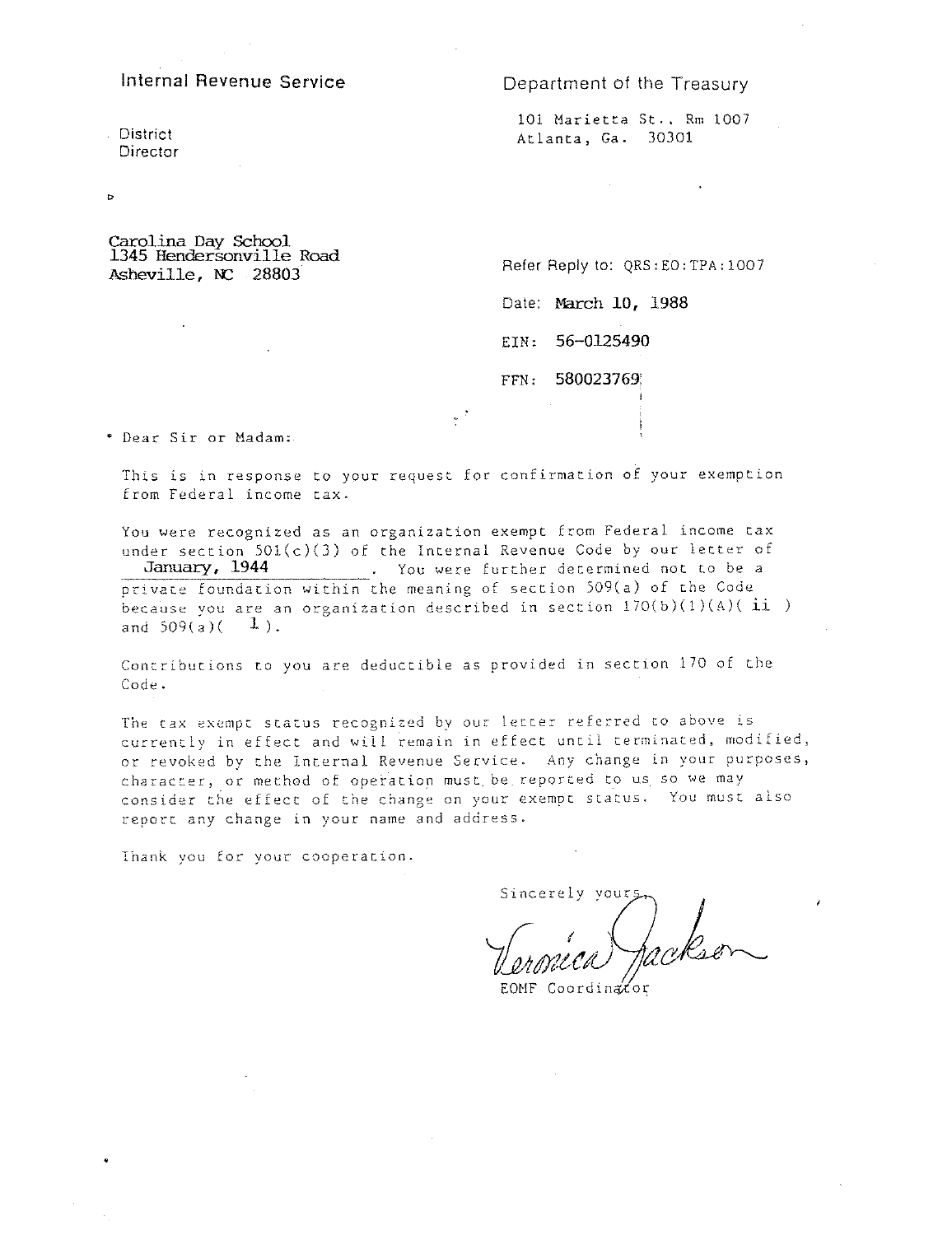#### Internal Revenue Service

#### Department of the Treasury

District Director

 $\circ$ 

101 Marietta St., Rm 1007 Atlanta, Ga. 30301

Carolina Day School 1345 Hendersonville Road Asheville, NC 28803

Refer Reply to: QRS: EO: TPA: 1007

Date: March 10, 1988

EIN: 56-0125490

FFN: 580023769

\* Dear Sir or Madam:

This is in response to your request for confirmation of your exemption from Federal income tax.

 $\sim$   $^2$ 

You were recognized as an organization exempt from Federal income tax under section  $501(c)(3)$  of the Internal Revenue Code by our letter of January, 1944 . You were further determined not to be a<br>private foundation within the meaning of section 509(a) of the Code because you are an organization described in section  $170(b)(1)(A)(ii)$ and  $509(a)(-1)$ .

Contributions to you are deductible as provided in section 170 of the Code.

The tax exempt status recognized by our letter referred to above is currently in effect and will remain in effect until terminated, modified, or revoked by the Internal Revenue Service. Any change in your purposes, character, or method of operation must be reported to us so we may consider the effect of the change on your exempt status. You must also report any change in your name and address.

Thank you for your cooperation.

Sincerely your.

EOMF Coordinator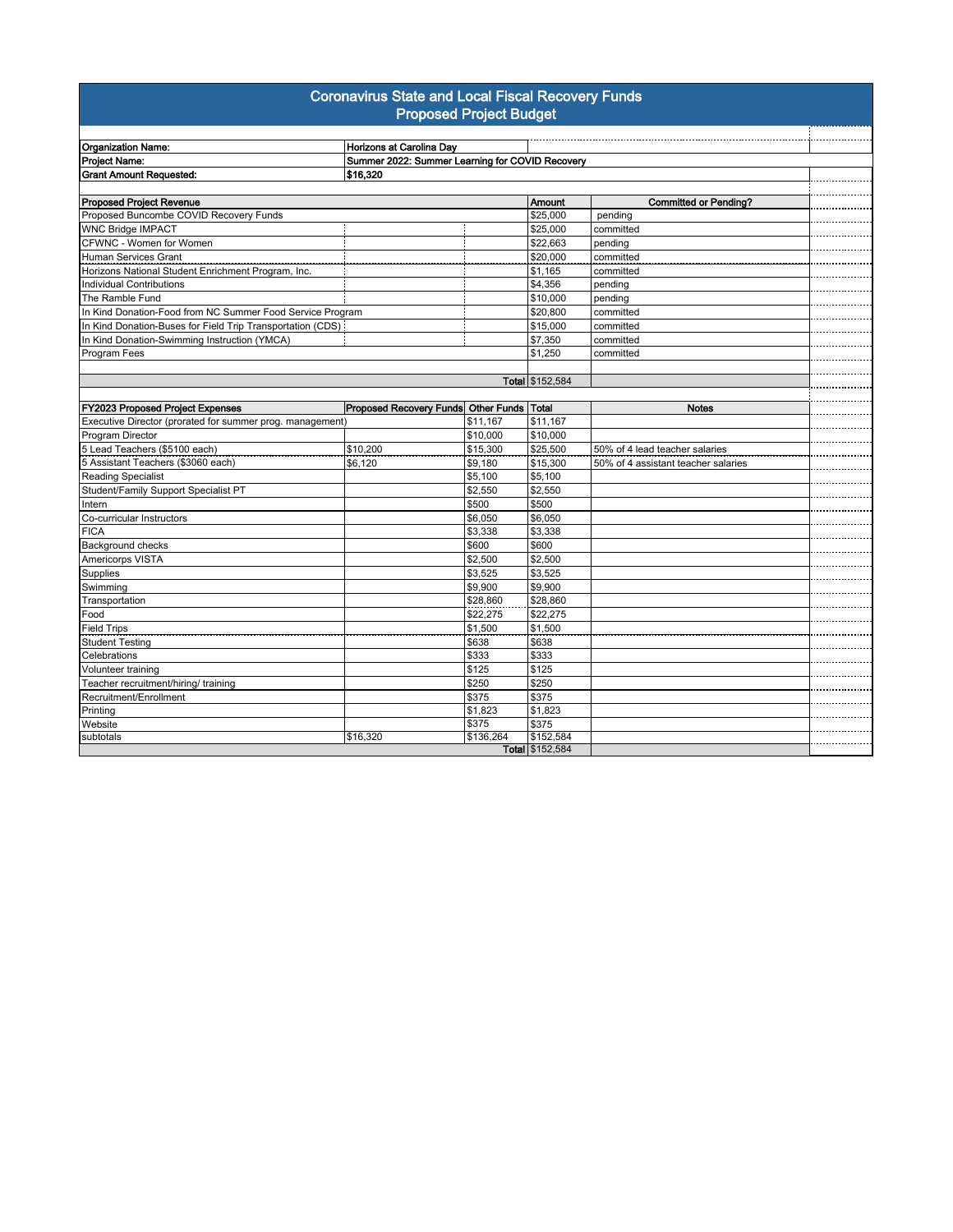#### **Coronavirus State and Local Fiscal Recovery Funds Proposed Project Budget**

| <b>Organization Name:</b>                                  | Horizons at Carolina Day |                                                 |                 |                                     |
|------------------------------------------------------------|--------------------------|-------------------------------------------------|-----------------|-------------------------------------|
| Project Name:                                              |                          | Summer 2022: Summer Learning for COVID Recovery |                 |                                     |
| <b>Grant Amount Requested:</b>                             | \$16,320                 |                                                 |                 |                                     |
|                                                            |                          |                                                 |                 |                                     |
| <b>Proposed Project Revenue</b>                            |                          |                                                 | <b>Amount</b>   | <b>Committed or Pending?</b>        |
| Proposed Buncombe COVID Recovery Funds                     |                          |                                                 | \$25,000        | pending                             |
| <b>WNC Bridge IMPACT</b>                                   |                          |                                                 | \$25,000        | committed                           |
| CFWNC - Women for Women                                    |                          |                                                 | \$22,663        | pending                             |
| <b>Human Services Grant</b>                                |                          |                                                 | \$20,000        | committed                           |
| Horizons National Student Enrichment Program, Inc.         |                          |                                                 | \$1,165         | committed                           |
| <b>Individual Contributions</b>                            |                          |                                                 | \$4,356         | pending                             |
| The Ramble Fund                                            |                          |                                                 | \$10,000        | pending                             |
| In Kind Donation-Food from NC Summer Food Service Program  |                          |                                                 | \$20,800        | committed                           |
| In Kind Donation-Buses for Field Trip Transportation (CDS) |                          |                                                 | \$15,000        | committed                           |
| In Kind Donation-Swimming Instruction (YMCA)               |                          |                                                 | \$7,350         | committed                           |
| Program Fees                                               |                          |                                                 | \$1,250         | committed                           |
|                                                            |                          |                                                 |                 |                                     |
|                                                            |                          |                                                 | Total \$152,584 |                                     |
|                                                            |                          |                                                 |                 |                                     |
| FY2023 Proposed Project Expenses                           |                          | Proposed Recovery Funds Other Funds Total       |                 | <b>Notes</b>                        |
| Executive Director (prorated for summer prog. management)  |                          | \$11,167                                        | \$11,167        |                                     |
| Program Director                                           |                          | \$10,000                                        | \$10,000        |                                     |
| 5 Lead Teachers (\$5100 each)                              | \$10,200                 | \$15,300                                        | \$25,500        | 50% of 4 lead teacher salaries      |
| 5 Assistant Teachers (\$3060 each)                         | \$6,120                  | \$9,180                                         | \$15,300        | 50% of 4 assistant teacher salaries |
| Reading Specialist                                         |                          | \$5,100                                         | \$5,100         |                                     |
| Student/Family Support Specialist PT                       |                          | \$2,550                                         | \$2,550         |                                     |
| Intern                                                     |                          | \$500                                           | \$500           |                                     |
| Co-curricular Instructors                                  |                          | \$6,050                                         | \$6,050         |                                     |
| <b>FICA</b>                                                |                          | \$3,338                                         | \$3,338         |                                     |
| Background checks                                          |                          | \$600                                           | \$600           |                                     |
| Americorps VISTA                                           |                          | \$2,500                                         | \$2,500         |                                     |
| Supplies                                                   |                          | \$3,525                                         | \$3,525         |                                     |
| Swimming                                                   |                          | \$9,900                                         | \$9,900         |                                     |
| Transportation                                             |                          | \$28,860                                        | \$28,860        |                                     |
| Food                                                       |                          | \$22,275                                        | \$22,275        |                                     |
| <b>Field Trips</b>                                         |                          | \$1,500                                         | \$1,500         |                                     |
| <b>Student Testing</b>                                     |                          | \$638                                           | \$638           |                                     |
| Celebrations                                               |                          | \$333                                           | \$333           |                                     |
| Volunteer training                                         |                          | \$125                                           | \$125           |                                     |
| Teacher recruitment/hiring/ training                       |                          | \$250                                           | \$250           |                                     |
| Recruitment/Enrollment                                     |                          | \$375                                           | \$375           |                                     |
| Printing                                                   |                          | \$1,823                                         | \$1,823         |                                     |
| Website                                                    |                          | \$375                                           | \$375           |                                     |
| subtotals                                                  | \$16,320                 | \$136,264                                       | \$152,584       |                                     |
|                                                            |                          |                                                 | Total \$152,584 |                                     |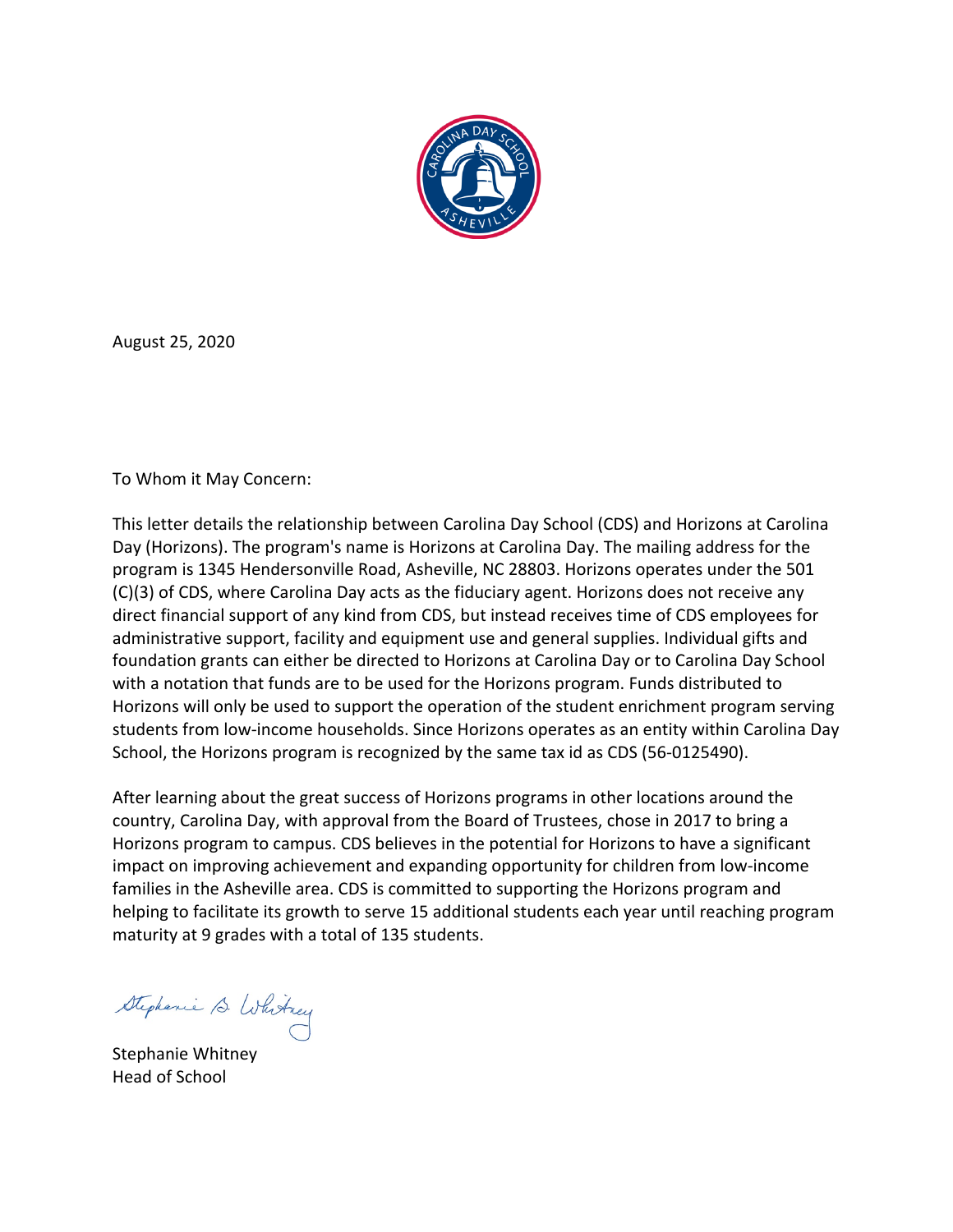

August 25, 2020

To Whom it May Concern:

This letter details the relationship between Carolina Day School (CDS) and Horizons at Carolina Day (Horizons). The program's name is Horizons at Carolina Day. The mailing address for the program is 1345 Hendersonville Road, Asheville, NC 28803. Horizons operates under the 501 (C)(3) of CDS, where Carolina Day acts as the fiduciary agent. Horizons does not receive any direct financial support of any kind from CDS, but instead receives time of CDS employees for administrative support, facility and equipment use and general supplies. Individual gifts and foundation grants can either be directed to Horizons at Carolina Day or to Carolina Day School with a notation that funds are to be used for the Horizons program. Funds distributed to Horizons will only be used to support the operation of the student enrichment program serving students from low-income households. Since Horizons operates as an entity within Carolina Day School, the Horizons program is recognized by the same tax id as CDS (56-0125490).

After learning about the great success of Horizons programs in other locations around the country, Carolina Day, with approval from the Board of Trustees, chose in 2017 to bring a Horizons program to campus. CDS believes in the potential for Horizons to have a significant impact on improving achievement and expanding opportunity for children from low-income families in the Asheville area. CDS is committed to supporting the Horizons program and helping to facilitate its growth to serve 15 additional students each year until reaching program maturity at 9 grades with a total of 135 students.

Stephenie S. Whitney

Stephanie Whitney Head of School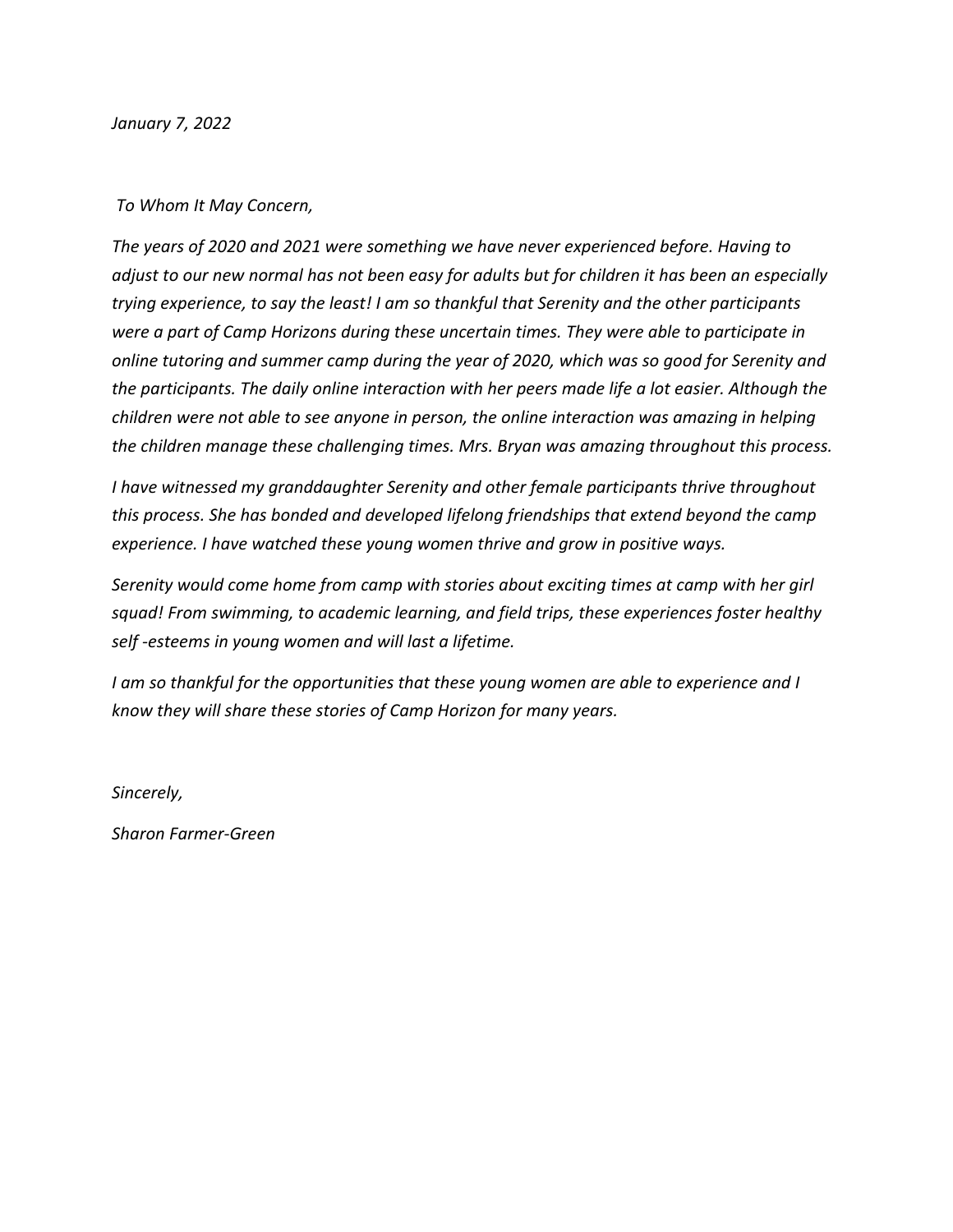*January 7, 2022*

#### *To Whom It May Concern,*

*The years of 2020 and 2021 were something we have never experienced before. Having to adjust to our new normal has not been easy for adults but for children it has been an especially trying experience, to say the least! I am so thankful that Serenity and the other participants were a part of Camp Horizons during these uncertain times. They were able to participate in online tutoring and summer camp during the year of 2020, which was so good for Serenity and the participants. The daily online interaction with her peers made life a lot easier. Although the children were not able to see anyone in person, the online interaction was amazing in helping the children manage these challenging times. Mrs. Bryan was amazing throughout this process.* 

*I have witnessed my granddaughter Serenity and other female participants thrive throughout this process. She has bonded and developed lifelong friendships that extend beyond the camp experience. I have watched these young women thrive and grow in positive ways.* 

*Serenity would come home from camp with stories about exciting times at camp with her girl squad! From swimming, to academic learning, and field trips, these experiences foster healthy self -esteems in young women and will last a lifetime.* 

*I am so thankful for the opportunities that these young women are able to experience and I know they will share these stories of Camp Horizon for many years.* 

*Sincerely,*

*Sharon Farmer-Green*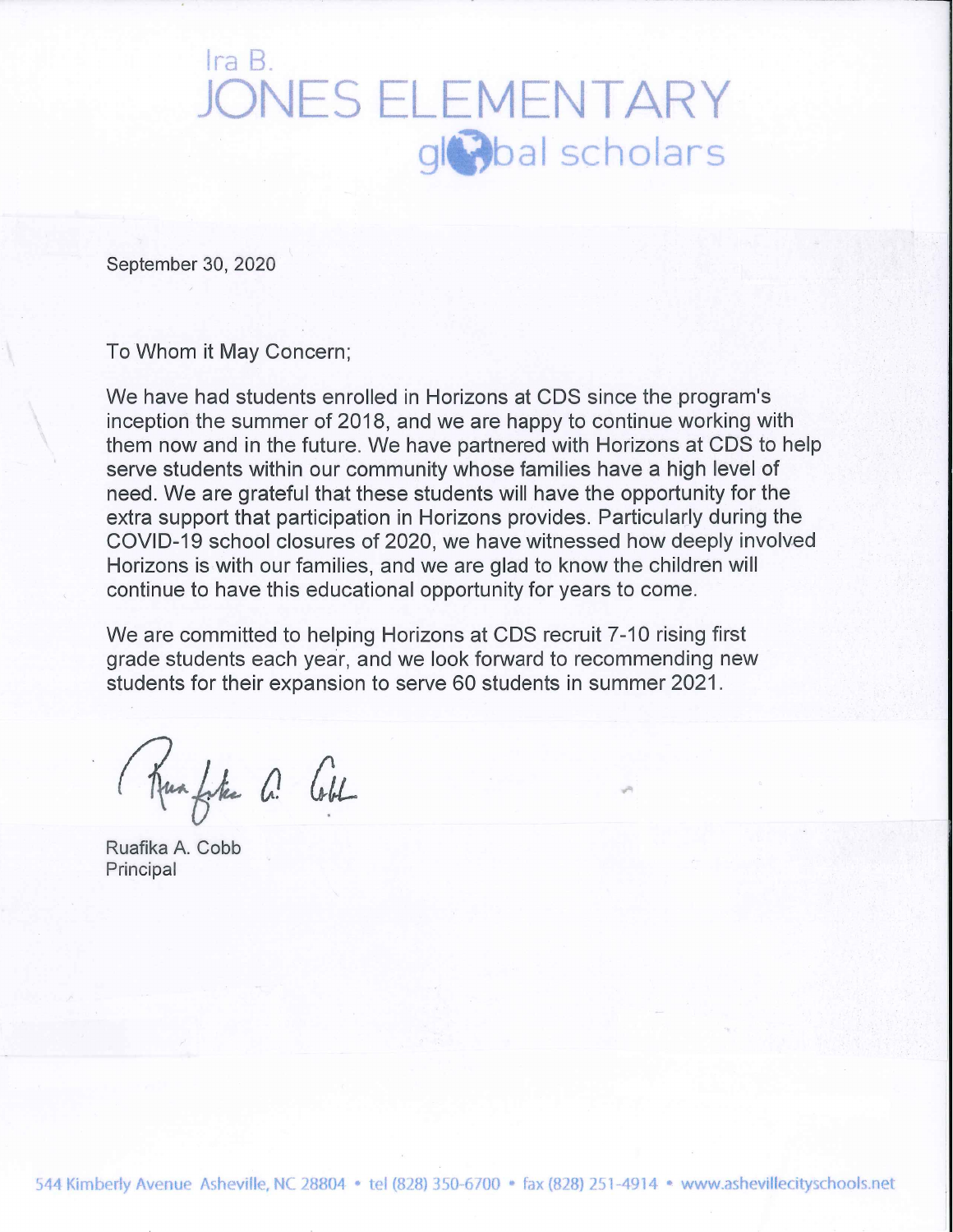# Ira B. **JONES ELEMENTARY** gloal scholars

September 30, 2020

To Whom it May Concern;

We have had students enrolled in Horizons at CDS since the program's inception the summer of 2018, and we are happy to continue working with them now and in the future. We have partnered with Horizons at CDS to help serve students within our community whose families have a high level of need. We are grateful that these students will have the opportunity for the extra support that participation in Horizons provides. Particularly during the COVID-19 school closures of 2020, we have witnessed how deeply involved Horizons is with our families, and we are glad to know the children will continue to have this educational opportunity for years to come.

We are committed to helping Horizons at CDS recruit 7-10 rising first grade students each year, and we look forward to recommending new students for their expansion to serve 60 students in summer 2021.

Kunfste a Cobl

Ruafika A. Cobb Principal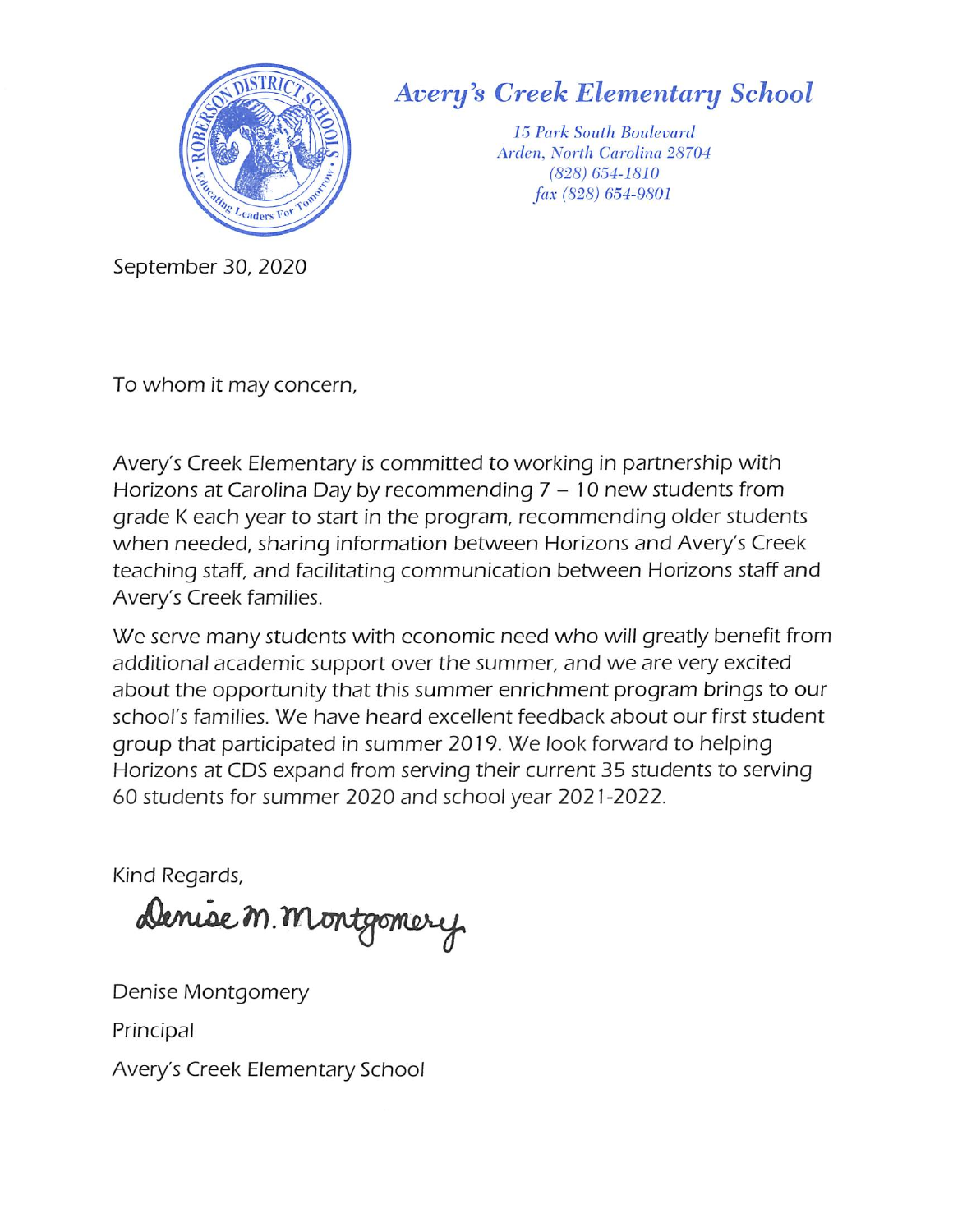

# Avery^s Creek Elementary School

15 Park South Boulevard Arden, North Carolina 28704 (828) 654-1810 fax (828) 654-9801

September 30, 2020

To whom it may concern.

Avery's Creek Elementary is committed to working in partnership with Horizons at Carolina Day by recommending  $7-10$  new students from grade K each year to start in the program, recommending older students when needed, sharing information between Horizons and Avery's Creek teaching staff, and facilitating communication between Horizons staff and Avery's Creek families.

We serve many students with economic need who will greatly benefit from additional academic support over the summer, and we are very excited about the opportunity that this summer enrichment program brings to our school's families. We have heard excellent feedback about our first student group that participated in summer 2019. We look forward to helping Horizons at CDS expand from serving their current 35 students to serving 60 students for summer 2020 and school year 2021 -2022.

Kind Regards,

Denise M. Montgomery

Denise Montgomery

Principal

Avery's Creek Elementary School